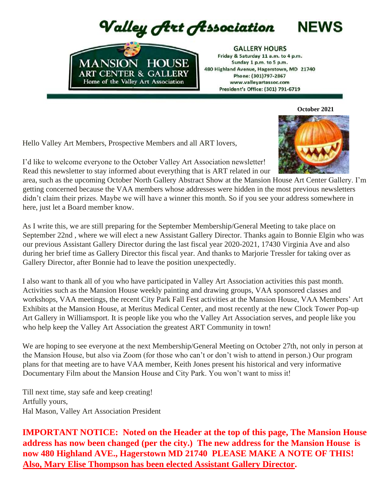Valley Art Association



**GALLERY HOURS** Friday & Saturday 11 a.m. to 4 p.m. Sunday 1 p.m. to 5 p.m. 480 Highland Avenue, Hagerstown, MD 21740 Phone: (301)797-2867 www.valleyartassoc.com President's Office: (301) 791-6719

 **October 2021**

**NEWS** 

Hello Valley Art Members, Prospective Members and all ART lovers,

I'd like to welcome everyone to the October Valley Art Association newsletter! Read this newsletter to stay informed about everything that is ART related in our

area, such as the upcoming October North Gallery Abstract Show at the Mansion House Art Center Gallery. I'm getting concerned because the VAA members whose addresses were hidden in the most previous newsletters didn't claim their prizes. Maybe we will have a winner this month. So if you see your address somewhere in here, just let a Board member know.

As I write this, we are still preparing for the September Membership/General Meeting to take place on September 22nd , where we will elect a new Assistant Gallery Director. Thanks again to Bonnie Elgin who was our previous Assistant Gallery Director during the last fiscal year 2020-2021, 17430 Virginia Ave and also during her brief time as Gallery Director this fiscal year. And thanks to Marjorie Tressler for taking over as Gallery Director, after Bonnie had to leave the position unexpectedly.

I also want to thank all of you who have participated in Valley Art Association activities this past month. Activities such as the Mansion House weekly painting and drawing groups, VAA sponsored classes and workshops, VAA meetings, the recent City Park Fall Fest activities at the Mansion House, VAA Members' Art Exhibits at the Mansion House, at Meritus Medical Center, and most recently at the new Clock Tower Pop-up Art Gallery in Williamsport. It is people like you who the Valley Art Association serves, and people like you who help keep the Valley Art Association the greatest ART Community in town!

We are hoping to see everyone at the next Membership/General Meeting on October 27th, not only in person at the Mansion House, but also via Zoom (for those who can't or don't wish to attend in person.) Our program plans for that meeting are to have VAA member, Keith Jones present his historical and very informative Documentary Film about the Mansion House and City Park. You won't want to miss it!

Till next time, stay safe and keep creating! Artfully yours, Hal Mason, Valley Art Association President

**IMPORTANT NOTICE: Noted on the Header at the top of this page, The Mansion House address has now been changed (per the city.) The new address for the Mansion House is now 480 Highland AVE., Hagerstown MD 21740 PLEASE MAKE A NOTE OF THIS! Also, Mary Elise Thompson has been elected Assistant Gallery Director.**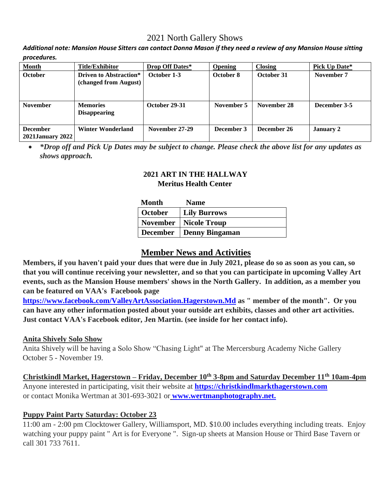# 2021 North Gallery Shows

*Additional note: Mansion House Sitters can contact Donna Mason if they need a review of any Mansion House sitting procedures.*

| <b>Month</b>                               | <b>Title/Exhibitor</b>                                 | <b>Drop Off Dates*</b> | <b>Opening</b> | <b>Closing</b> | Pick Up Date*    |
|--------------------------------------------|--------------------------------------------------------|------------------------|----------------|----------------|------------------|
| <b>October</b>                             | <b>Driven to Abstraction*</b><br>(changed from August) | October 1-3            | October 8      | October 31     | November 7       |
| <b>November</b>                            | <b>Memories</b><br><b>Disappearing</b>                 | October 29-31          | November 5     | November 28    | December 3-5     |
| <b>December</b><br><b>2021January 2022</b> | <b>Winter Wonderland</b>                               | November 27-29         | December 3     | December 26    | <b>January 2</b> |

• *\*Drop off and Pick Up Dates may be subject to change. Please check the above list for any updates as shows approach.*

#### **2021 ART IN THE HALLWAY Meritus Health Center**

| Month          | <b>Name</b>                           |
|----------------|---------------------------------------|
| <b>October</b> | Lily Burrows                          |
|                | <b>November</b>   <b>Nicole Troup</b> |
|                | December   Denny Bingaman             |

## **Member News and Activities**

**Members, if you haven't paid your dues that were due in July 2021, please do so as soon as you can, so that you will continue receiving your newsletter, and so that you can participate in upcoming Valley Art events, such as the Mansion House members' shows in the North Gallery. In addition, as a member you can be featured on VAA's Facebook page** 

**https://www.facebook.com/ValleyArtAssociation.Hagerstown.Md as " member of the month". Or you can have any other information posted about your outside art exhibits, classes and other art activities. Just contact VAA's Facebook editor, Jen Martin. (see inside for her contact info).** 

#### **Anita Shively Solo Show**

Anita Shively will be having a Solo Show "Chasing Light" at The Mercersburg Academy Niche Gallery October 5 - November 19.

**Christkindl Market, Hagerstown – Friday, December 10th 3-8pm and Saturday December 11th 10am-4pm** Anyone interested in participating, visit their website at **https://christkindlmarkthagerstown.com** or contact Monika Wertman at 301-693-3021 or **www.wertmanphotography.net.**

#### **Puppy Paint Party Saturday: October 23**

11:00 am - 2:00 pm Clocktower Gallery, Williamsport, MD. \$10.00 includes everything including treats. Enjoy watching your puppy paint " Art is for Everyone ". Sign-up sheets at Mansion House or Third Base Tavern or call 301 733 7611.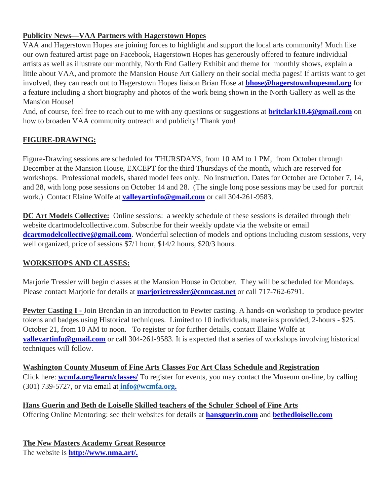## **Publicity News—VAA Partners with Hagerstown Hopes**

VAA and Hagerstown Hopes are joining forces to highlight and support the local arts community! Much like our own featured artist page on Facebook, Hagerstown Hopes has generously offered to feature individual artists as well as illustrate our monthly, North End Gallery Exhibit and theme for monthly shows, explain a little about VAA, and promote the Mansion House Art Gallery on their social media pages! If artists want to get involved, they can reach out to Hagerstown Hopes liaison Brian Hose at **bhose@hagerstownhopesmd.org** for a feature including a short biography and photos of the work being shown in the North Gallery as well as the Mansion House!

And, of course, feel free to reach out to me with any questions or suggestions at **britclark10.4@gmail.com** on how to broaden VAA community outreach and publicity! Thank you!

#### **FIGURE-DRAWING:**

Figure-Drawing sessions are scheduled for THURSDAYS, from 10 AM to 1 PM, from October through December at the Mansion House, EXCEPT for the third Thursdays of the month, which are reserved for workshops. Professional models, shared model fees only. No instruction. Dates for October are October 7, 14, and 28, with long pose sessions on October 14 and 28. (The single long pose sessions may be used for portrait work.) Contact Elaine Wolfe at **valleyartinfo@gmail.com** or call 304-261-9583.

**DC Art Models Collective:** Online sessions: a weekly schedule of these sessions is detailed through their website dcartmodelcollective.com. Subscribe for their weekly update via the website or email **dcartmodelcollective@gmail.com**. Wonderful selection of models and options including custom sessions, very well organized, price of sessions \$7/1 hour, \$14/2 hours, \$20/3 hours.

#### **WORKSHOPS AND CLASSES:**

Marjorie Tressler will begin classes at the Mansion House in October. They will be scheduled for Mondays. Please contact Marjorie for details at **marjorietressler@comcast.net** or call 717-762-6791.

**Pewter Casting I** - Join Brendan in an introduction to Pewter casting. A hands-on workshop to produce pewter tokens and badges using Historical techniques. Limited to 10 individuals, materials provided, 2-hours - \$25. October 21, from 10 AM to noon. To register or for further details, contact Elaine Wolfe at **valleyartinfo@gmail.com** or call 304-261-9583. It is expected that a series of workshops involving historical techniques will follow.

**Washington County Museum of Fine Arts Classes For Art Class Schedule and Registration** Click here: **wcmfa.org/learn/classes/** To register for events, you may contact the Museum on-line, by calling (301) 739-5727, or via email at **[info@wcmfa.org.](mailto:info@wcmfa.org)**

**Hans Guerin and Beth de Loiselle Skilled teachers of the Schuler School of Fine Arts**  Offering Online Mentoring: see their websites for details at **hansguerin.com** and **bethedloiselle.com**

**The New Masters Academy Great Resource** The website is **http://www.nma.art/.**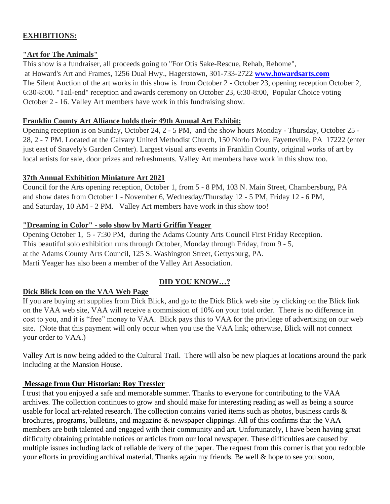## **EXHIBITIONS:**

#### **"Art for The Animals"**

This show is a fundraiser, all proceeds going to "For Otis Sake-Rescue, Rehab, Rehome", at Howard's Art and Frames, 1256 Dual Hwy., Hagerstown, 301-733-2722 **www.howardsarts.com** The Silent Auction of the art works in this show is from October 2 - October 23, opening reception October 2, 6:30-8:00. "Tail-end" reception and awards ceremony on October 23, 6:30-8:00, Popular Choice voting October 2 - 16. Valley Art members have work in this fundraising show.

#### **Franklin County Art Alliance holds their 49th Annual Art Exhibit:**

Opening reception is on Sunday, October 24, 2 - 5 PM, and the show hours Monday - Thursday, October 25 - 28, 2 - 7 PM. Located at the Calvary United Methodist Church, 150 Norlo Drive, Fayetteville, PA 17222 (enter just east of Snavely's Garden Center). Largest visual arts events in Franklin County, original works of art by local artists for sale, door prizes and refreshments. Valley Art members have work in this show too.

#### **37th Annual Exhibition Miniature Art 2021**

Council for the Arts opening reception, October 1, from 5 - 8 PM, 103 N. Main Street, Chambersburg, PA and show dates from October 1 - November 6, Wednesday/Thursday 12 - 5 PM, Friday 12 - 6 PM, and Saturday, 10 AM - 2 PM. Valley Art members have work in this show too!

#### **"Dreaming in Color" - solo show by Marti Griffin Yeager**

Opening October 1, 5 - 7:30 PM, during the Adams County Arts Council First Friday Reception. This beautiful solo exhibition runs through October, Monday through Friday, from 9 - 5, at the Adams County Arts Council, 125 S. Washington Street, Gettysburg, PA. Marti Yeager has also been a member of the Valley Art Association.

## **DID YOU KNOW…?**

## **Dick Blick Icon on the VAA Web Page**

If you are buying art supplies from Dick Blick, and go to the Dick Blick web site by clicking on the Blick link on the VAA web site, VAA will receive a commission of 10% on your total order. There is no difference in cost to you, and it is "free" money to VAA. Blick pays this to VAA for the privilege of advertising on our web site. (Note that this payment will only occur when you use the VAA link; otherwise, Blick will not connect your order to VAA.)

Valley Art is now being added to the Cultural Trail. There will also be new plaques at locations around the park including at the Mansion House.

## **Message from Our Historian: Roy Tressler**

I trust that you enjoyed a safe and memorable summer. Thanks to everyone for contributing to the VAA archives. The collection continues to grow and should make for interesting reading as well as being a source usable for local art-related research. The collection contains varied items such as photos, business cards & brochures, programs, bulletins, and magazine & newspaper clippings. All of this confirms that the VAA members are both talented and engaged with their community and art. Unfortunately, I have been having great difficulty obtaining printable notices or articles from our local newspaper. These difficulties are caused by multiple issues including lack of reliable delivery of the paper. The request from this corner is that you redouble your efforts in providing archival material. Thanks again my friends. Be well & hope to see you soon,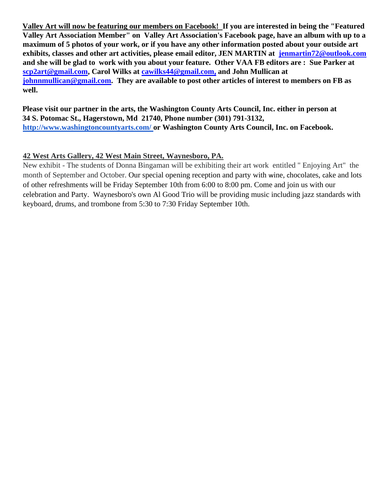**Valley Art will now be featuring our members on Facebook! If you are interested in being the "Featured Valley Art Association Member" on Valley Art Association's Facebook page, have an album with up to a maximum of 5 photos of your work, or if you have any other information posted about your outside art exhibits, classes and other art activities, please email editor, JEN MARTIN at jenmartin72@outlook.com and she will be glad to work with you about your feature. Other VAA FB editors are : Sue Parker at scp2art@gmail.com, Carol Wilks at cawilks44@gmail.com, and John Mullican at johnnmullican@gmail.com. They are available to post other articles of interest to members on FB as well.** 

**Please visit our partner in the arts, the Washington County Arts Council, Inc. either in person at 34 S. Potomac St., Hagerstown, Md 21740, Phone number (301) 791-3132, <http://www.washingtoncountyarts.com/> [o](http://www.washingtoncountyarts.com/)r Washington County Arts Council, Inc. on Facebook.** 

## **42 West Arts Gallery, 42 West Main Street, Waynesboro, PA.**

New exhibit - The students of Donna Bingaman will be exhibiting their art work entitled " Enjoying Art" the month of September and October. Our special opening reception and party with wine, chocolates, cake and lots of other refreshments will be Friday September 10th from 6:00 to 8:00 pm. Come and join us with our celebration and Party. Waynesboro's own Al Good Trio will be providing music including jazz standards with keyboard, drums, and trombone from 5:30 to 7:30 Friday September 10th.